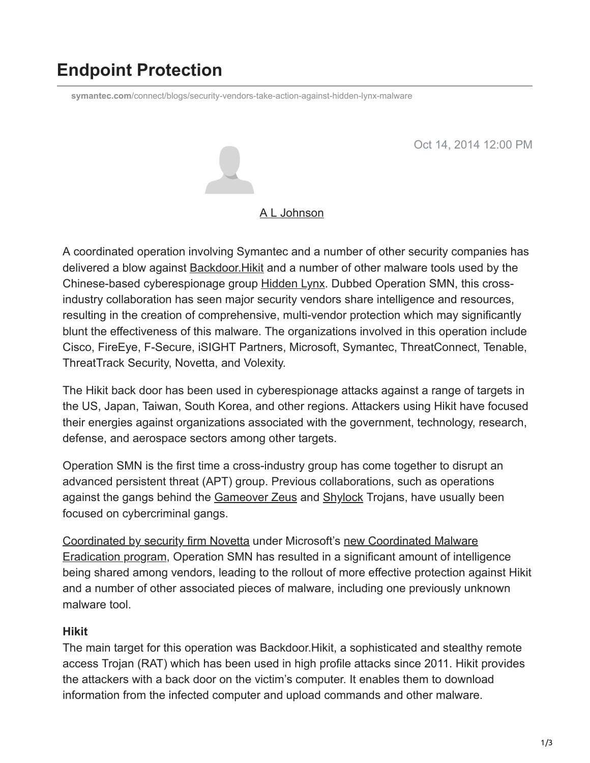# **Endpoint Protection**

**symantec.com**[/connect/blogs/security-vendors-take-action-against-hidden-lynx-malware](https://www.symantec.com/connect/blogs/security-vendors-take-action-against-hidden-lynx-malware)

Oct 14, 2014 12:00 PM



#### [A L Johnson](https://community.broadcom.com/symantecenterprise/network/members/profile?UserKey=cbd453fd-3ce1-4c47-af77-d746256f9bc4)

A coordinated operation involving Symantec and a number of other security companies has delivered a blow against **Backdoor. Hikit and a number of other malware tools used by the** Chinese-based cyberespionage group [Hidden Lynx.](http://www.symantec.com/content/en/us/enterprise/media/security_response/whitepapers/hidden_lynx.pdf) Dubbed Operation SMN, this crossindustry collaboration has seen major security vendors share intelligence and resources, resulting in the creation of comprehensive, multi-vendor protection which may significantly blunt the effectiveness of this malware. The organizations involved in this operation include Cisco, FireEye, F-Secure, iSIGHT Partners, Microsoft, Symantec, ThreatConnect, Tenable, ThreatTrack Security, Novetta, and Volexity.

The Hikit back door has been used in cyberespionage attacks against a range of targets in the US, Japan, Taiwan, South Korea, and other regions. Attackers using Hikit have focused their energies against organizations associated with the government, technology, research, defense, and aerospace sectors among other targets.

Operation SMN is the first time a cross-industry group has come together to disrupt an advanced persistent threat (APT) group. Previous collaborations, such as operations against the gangs behind the [Gameover Zeus](https://community.broadcom.com/symantecenterprise/viewdocument?DocumentKey=5a0ee571-2b14-4e02-8ff7-2c32e9227669&CommunityKey=1ecf5f55-9545-44d6-b0f4-4e4a7f5f5e68&tab=librarydocuments) and [Shylock](https://community.broadcom.com/symantecenterprise/viewdocument?DocumentKey=f71737b0-3eb4-4ac0-b473-5bcb35695aa9&CommunityKey=1ecf5f55-9545-44d6-b0f4-4e4a7f5f5e68&tab=librarydocuments) Trojans, have usually been focused on cybercriminal gangs.

[Coordinated by security firm Novetta](http://www.novetta.com/operationsmn) [under Microsoft's new Coordinated Malware](http://www.microsoft.com/security/Portal/mmpc/cme/malware_eradication.aspx) Eradication program, Operation SMN has resulted in a significant amount of intelligence being shared among vendors, leading to the rollout of more effective protection against Hikit and a number of other associated pieces of malware, including one previously unknown malware tool.

### **Hikit**

The main target for this operation was Backdoor.Hikit, a sophisticated and stealthy remote access Trojan (RAT) which has been used in high profile attacks since 2011. Hikit provides the attackers with a back door on the victim's computer. It enables them to download information from the infected computer and upload commands and other malware.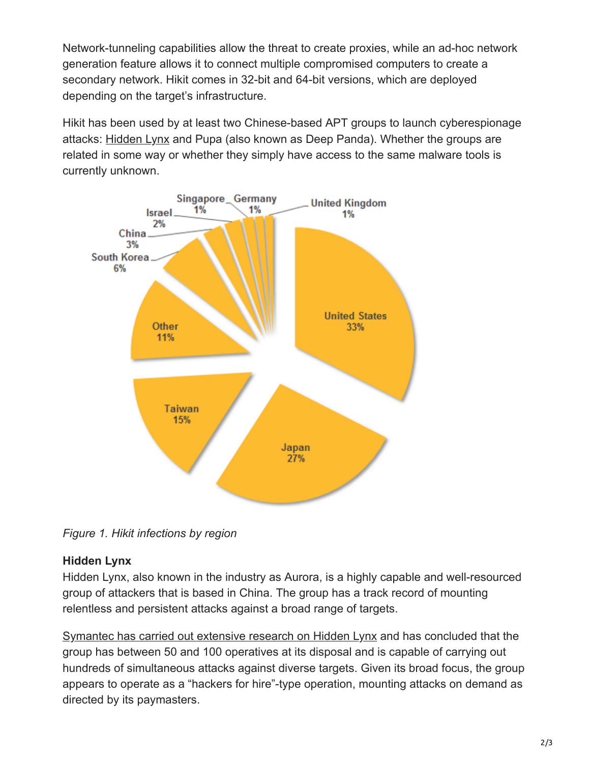Network-tunneling capabilities allow the threat to create proxies, while an ad-hoc network generation feature allows it to connect multiple compromised computers to create a secondary network. Hikit comes in 32-bit and 64-bit versions, which are deployed depending on the target's infrastructure.

Hikit has been used by at least two Chinese-based APT groups to launch cyberespionage attacks: [Hidden Lynx](https://community.broadcom.com/symantecenterprise/viewdocument?DocumentKey=8962de07-8e6a-41cc-a6d6-d22ea52dcbfa&CommunityKey=1ecf5f55-9545-44d6-b0f4-4e4a7f5f5e68&tab=librarydocuments) and Pupa (also known as Deep Panda). Whether the groups are related in some way or whether they simply have access to the same malware tools is currently unknown.



*Figure 1. Hikit infections by region*

## **Hidden Lynx**

Hidden Lynx, also known in the industry as Aurora, is a highly capable and well-resourced group of attackers that is based in China. The group has a track record of mounting relentless and persistent attacks against a broad range of targets.

[Symantec has carried out extensive research on Hidden Lynx](http://www.symantec.com/content/en/us/enterprise/media/security_response/whitepapers/hidden_lynx.pdf) and has concluded that the group has between 50 and 100 operatives at its disposal and is capable of carrying out hundreds of simultaneous attacks against diverse targets. Given its broad focus, the group appears to operate as a "hackers for hire"-type operation, mounting attacks on demand as directed by its paymasters.